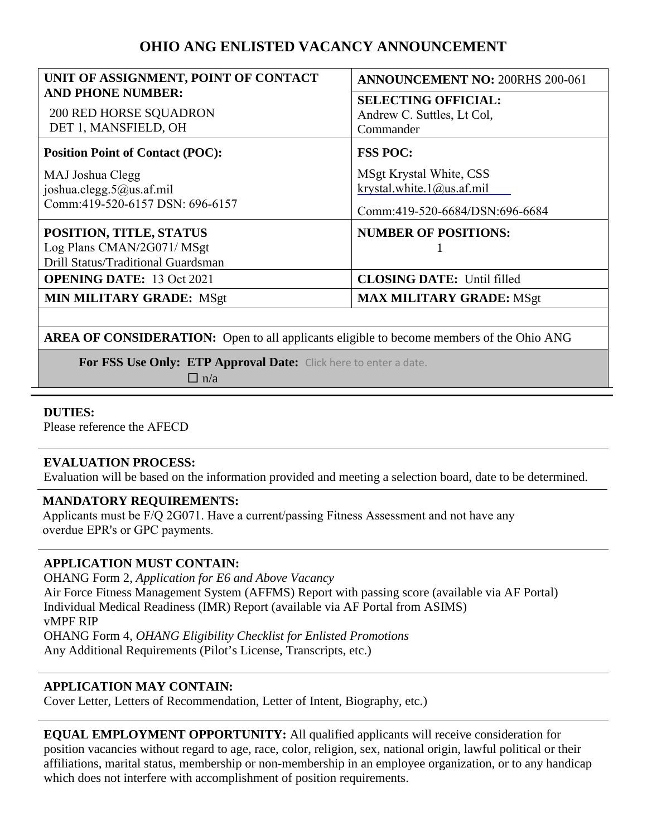# **OHIO ANG ENLISTED VACANCY ANNOUNCEMENT**

| UNIT OF ASSIGNMENT, POINT OF CONTACT                                                        | <b>ANNOUNCEMENT NO: 200RHS 200-061</b>                                                           |
|---------------------------------------------------------------------------------------------|--------------------------------------------------------------------------------------------------|
| <b>AND PHONE NUMBER:</b><br><b>200 RED HORSE SQUADRON</b><br>DET 1, MANSFIELD, OH           | <b>SELECTING OFFICIAL:</b><br>Andrew C. Suttles, Lt Col,<br>Commander                            |
| <b>Position Point of Contact (POC):</b>                                                     | <b>FSS POC:</b>                                                                                  |
| MAJ Joshua Clegg<br>joshua.clegg.5@us.af.mil<br>Comm:419-520-6157 DSN: 696-6157             | MSgt Krystal White, CSS<br>krystal.white. $1$ ( $@$ )us.af.mil<br>Comm:419-520-6684/DSN:696-6684 |
| POSITION, TITLE, STATUS<br>Log Plans CMAN/2G071/ MSgt<br>Drill Status/Traditional Guardsman | <b>NUMBER OF POSITIONS:</b>                                                                      |
| <b>OPENING DATE:</b> 13 Oct 2021                                                            | <b>CLOSING DATE:</b> Until filled                                                                |
| <b>MIN MILITARY GRADE: MSgt</b>                                                             | <b>MAX MILITARY GRADE: MSgt</b>                                                                  |

**AREA OF CONSIDERATION:** Open to all applicants eligible to become members of the Ohio ANG

**For FSS Use Only: ETP Approval Date:** Click here to enter a date.

 $\Box$  n/a

## **DUTIES:**

Please reference the AFECD

#### **EVALUATION PROCESS:**

Evaluation will be based on the information provided and meeting a selection board, date to be determined.

#### **MANDATORY REQUIREMENTS:**

Applicants must be F/Q 2G071. Have a current/passing Fitness Assessment and not have any overdue EPR's or GPC payments.

# **APPLICATION MUST CONTAIN:**

OHANG Form 2, *Application for E6 and Above Vacancy*  Air Force Fitness Management System (AFFMS) Report with passing score (available via AF Portal) Individual Medical Readiness (IMR) Report (available via AF Portal from ASIMS) vMPF RIP OHANG Form 4, *OHANG Eligibility Checklist for Enlisted Promotions* Any Additional Requirements (Pilot's License, Transcripts, etc.)

# **APPLICATION MAY CONTAIN:**

Cover Letter, Letters of Recommendation, Letter of Intent, Biography, etc.)

**EQUAL EMPLOYMENT OPPORTUNITY:** All qualified applicants will receive consideration for position vacancies without regard to age, race, color, religion, sex, national origin, lawful political or their affiliations, marital status, membership or non-membership in an employee organization, or to any handicap which does not interfere with accomplishment of position requirements.